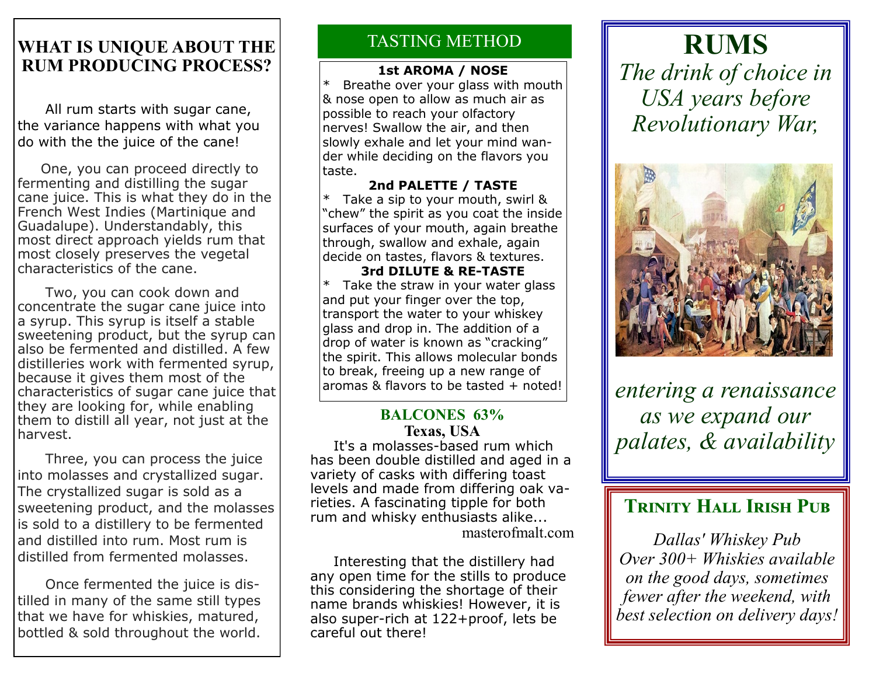## WHAT IS UNIQUE ABOUT THE TASTING METHOD **RUM PRODUCING PROCESS?**

 All rum starts with sugar cane, the variance happens with what you do with the the juice of the cane!

 One, you can proceed directly to fermenting and distilling the sugar cane juice. This is what they do in the French West Indies (Martinique and Guadalupe). Understandably, this most direct approach yields rum that most closely preserves the vegetal characteristics of the cane.

 Two, you can cook down and concentrate the sugar cane juice into a syrup. This syrup is itself a stable sweetening product, but the syrup can also be fermented and distilled. A few distilleries work with fermented syrup, because it gives them most of the characteristics of sugar cane juice that they are looking for, while enabling them to distill all year, not just at the harvest.

 Three, you can process the juice into molasses and crystallized sugar. The crystallized sugar is sold as a sweetening product, and the molasses is sold to a distillery to be fermented and distilled into rum. Most rum is distilled from fermented molasses.

 Once fermented the juice is distilled in many of the same still types that we have for whiskies, matured, bottled & sold throughout the world.

#### **1st AROMA / NOSE**

Breathe over your glass with mouth & nose open to allow as much air as possible to reach your olfactory nerves! Swallow the air, and then slowly exhale and let your mind wander while deciding on the flavors you taste.

**2nd PALETTE / TASTE** \* Take a sip to your mouth, swirl & "chew" the spirit as you coat the inside surfaces of your mouth, again breathe through, swallow and exhale, again decide on tastes, flavors & textures. **3rd DILUTE & RE-TASTE**

Take the straw in your water glass and put your finger over the top, transport the water to your whiskey glass and drop in. The addition of a drop of water is known as "cracking" the spirit. This allows molecular bonds to break, freeing up a new range of aromas  $\&$  flavors to be tasted  $+$  noted!

#### **BALCONES 63% Texas, USA**

 It's a molasses-based rum which has been double distilled and aged in a variety of casks with differing toast levels and made from differing oak varieties. A fascinating tipple for both rum and whisky enthusiasts alike... masterofmalt.com

 Interesting that the distillery had any open time for the stills to produce this considering the shortage of their name brands whiskies! However, it is also super-rich at 122+proof, lets be careful out there!

# **RUMS**

*The drink of choice in USA years before Revolutionary War,*



*entering a renaissance as we expand our palates, & availability* 

# **TRINITY HALL IRISH PUB**

*Dallas' Whiskey Pub Over 300+ Whiskies available on the good days, sometimes fewer after the weekend, with best selection on delivery days!*